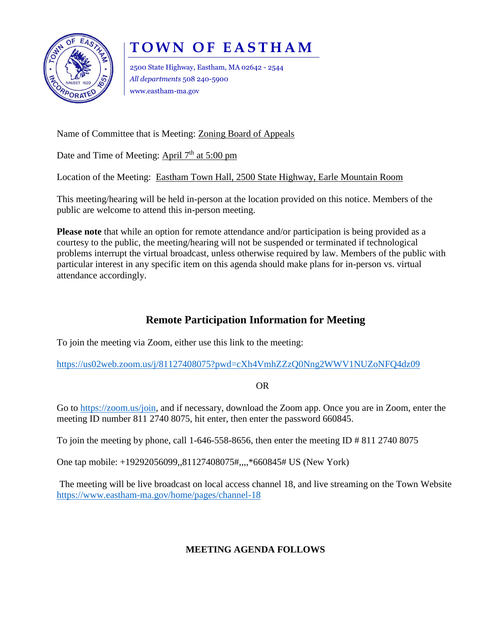

## **T O W N O F E A S T H A M**

2500 State Highway, Eastham, MA 02642 - 2544 *All departments* 508 240-5900 www.eastham-ma.gov

Name of Committee that is Meeting: Zoning Board of Appeals

Date and Time of Meeting: April 7<sup>th</sup> at 5:00 pm

Location of the Meeting: Eastham Town Hall, 2500 State Highway, Earle Mountain Room

This meeting/hearing will be held in-person at the location provided on this notice. Members of the public are welcome to attend this in-person meeting.

**Please note** that while an option for remote attendance and/or participation is being provided as a courtesy to the public, the meeting/hearing will not be suspended or terminated if technological problems interrupt the virtual broadcast, unless otherwise required by law. Members of the public with particular interest in any specific item on this agenda should make plans for in-person vs. virtual attendance accordingly.

## **Remote Participation Information for Meeting**

To join the meeting via Zoom, either use this link to the meeting:

<https://us02web.zoom.us/j/81127408075?pwd=cXh4VmhZZzQ0Nng2WWV1NUZoNFQ4dz09>

OR

Go to [https://zoom.us/join,](https://zoom.us/join) and if necessary, download the Zoom app. Once you are in Zoom, enter the meeting ID number 811 2740 8075, hit enter, then enter the password 660845.

To join the meeting by phone, call 1-646-558-8656, then enter the meeting ID  $\#$  811 2740 8075

One tap mobile: +19292056099,,81127408075#,,,,\*660845# US (New York)

The meeting will be live broadcast on local access channel 18, and live streaming on the Town Website <https://www.eastham-ma.gov/home/pages/channel-18>

## **MEETING AGENDA FOLLOWS**